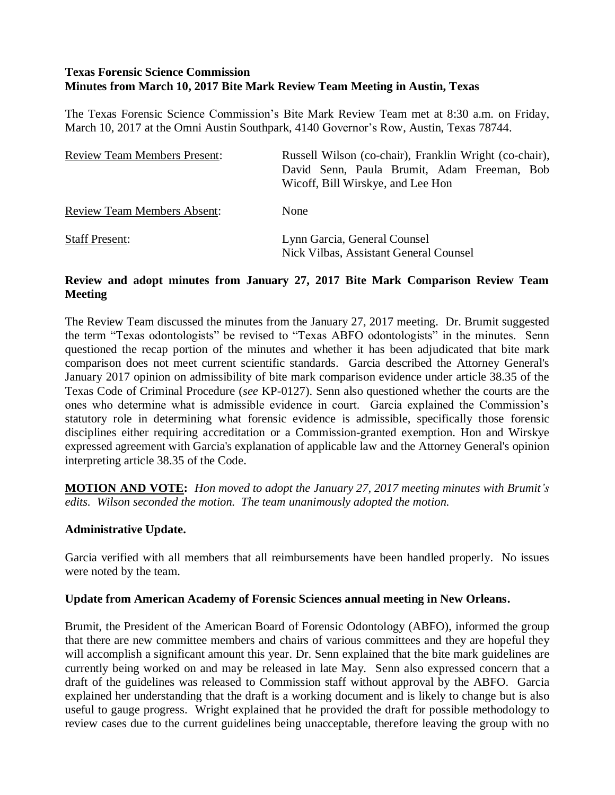# **Texas Forensic Science Commission Minutes from March 10, 2017 Bite Mark Review Team Meeting in Austin, Texas**

The Texas Forensic Science Commission's Bite Mark Review Team met at 8:30 a.m. on Friday, March 10, 2017 at the Omni Austin Southpark, 4140 Governor's Row, Austin, Texas 78744.

| <b>Review Team Members Present:</b> | Russell Wilson (co-chair), Franklin Wright (co-chair),<br>David Senn, Paula Brumit, Adam Freeman, Bob<br>Wicoff, Bill Wirskye, and Lee Hon |
|-------------------------------------|--------------------------------------------------------------------------------------------------------------------------------------------|
| <b>Review Team Members Absent:</b>  | None                                                                                                                                       |
| <b>Staff Present:</b>               | Lynn Garcia, General Counsel<br>Nick Vilbas, Assistant General Counsel                                                                     |

## **Review and adopt minutes from January 27, 2017 Bite Mark Comparison Review Team Meeting**

The Review Team discussed the minutes from the January 27, 2017 meeting. Dr. Brumit suggested the term "Texas odontologists" be revised to "Texas ABFO odontologists" in the minutes. Senn questioned the recap portion of the minutes and whether it has been adjudicated that bite mark comparison does not meet current scientific standards. Garcia described the Attorney General's January 2017 opinion on admissibility of bite mark comparison evidence under article 38.35 of the Texas Code of Criminal Procedure (*see* KP-0127). Senn also questioned whether the courts are the ones who determine what is admissible evidence in court. Garcia explained the Commission's statutory role in determining what forensic evidence is admissible, specifically those forensic disciplines either requiring accreditation or a Commission-granted exemption. Hon and Wirskye expressed agreement with Garcia's explanation of applicable law and the Attorney General's opinion interpreting article 38.35 of the Code.

**MOTION AND VOTE:** *Hon moved to adopt the January 27, 2017 meeting minutes with Brumit's edits. Wilson seconded the motion. The team unanimously adopted the motion.* 

### **Administrative Update.**

Garcia verified with all members that all reimbursements have been handled properly. No issues were noted by the team.

### **Update from American Academy of Forensic Sciences annual meeting in New Orleans.**

Brumit, the President of the American Board of Forensic Odontology (ABFO), informed the group that there are new committee members and chairs of various committees and they are hopeful they will accomplish a significant amount this year. Dr. Senn explained that the bite mark guidelines are currently being worked on and may be released in late May. Senn also expressed concern that a draft of the guidelines was released to Commission staff without approval by the ABFO. Garcia explained her understanding that the draft is a working document and is likely to change but is also useful to gauge progress. Wright explained that he provided the draft for possible methodology to review cases due to the current guidelines being unacceptable, therefore leaving the group with no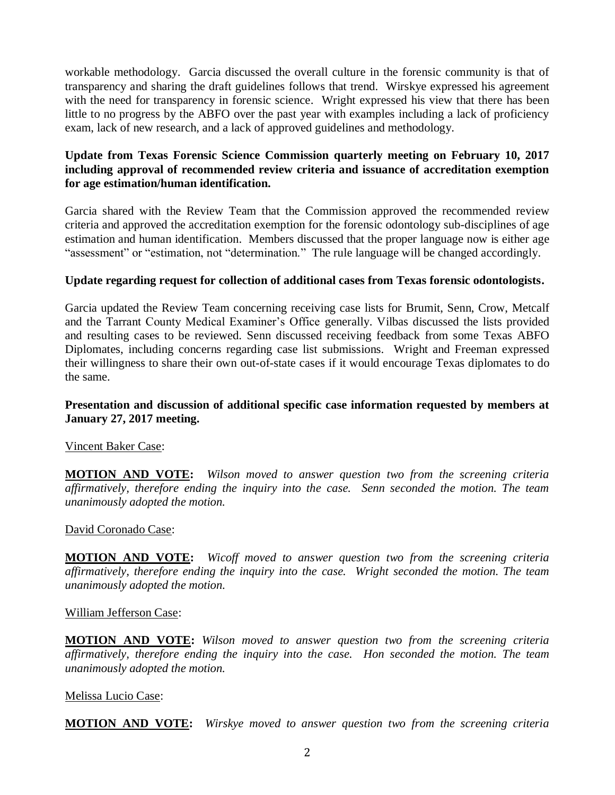workable methodology. Garcia discussed the overall culture in the forensic community is that of transparency and sharing the draft guidelines follows that trend. Wirskye expressed his agreement with the need for transparency in forensic science. Wright expressed his view that there has been little to no progress by the ABFO over the past year with examples including a lack of proficiency exam, lack of new research, and a lack of approved guidelines and methodology.

# **Update from Texas Forensic Science Commission quarterly meeting on February 10, 2017 including approval of recommended review criteria and issuance of accreditation exemption for age estimation/human identification.**

Garcia shared with the Review Team that the Commission approved the recommended review criteria and approved the accreditation exemption for the forensic odontology sub-disciplines of age estimation and human identification. Members discussed that the proper language now is either age "assessment" or "estimation, not "determination." The rule language will be changed accordingly.

## **Update regarding request for collection of additional cases from Texas forensic odontologists.**

Garcia updated the Review Team concerning receiving case lists for Brumit, Senn, Crow, Metcalf and the Tarrant County Medical Examiner's Office generally. Vilbas discussed the lists provided and resulting cases to be reviewed. Senn discussed receiving feedback from some Texas ABFO Diplomates, including concerns regarding case list submissions. Wright and Freeman expressed their willingness to share their own out-of-state cases if it would encourage Texas diplomates to do the same.

### **Presentation and discussion of additional specific case information requested by members at January 27, 2017 meeting.**

### Vincent Baker Case:

**MOTION AND VOTE:** *Wilson moved to answer question two from the screening criteria affirmatively, therefore ending the inquiry into the case. Senn seconded the motion. The team unanimously adopted the motion.*

#### David Coronado Case:

**MOTION AND VOTE:** *Wicoff moved to answer question two from the screening criteria affirmatively, therefore ending the inquiry into the case. Wright seconded the motion. The team unanimously adopted the motion.*

#### William Jefferson Case:

**MOTION AND VOTE:** *Wilson moved to answer question two from the screening criteria affirmatively, therefore ending the inquiry into the case. Hon seconded the motion. The team unanimously adopted the motion.*

### Melissa Lucio Case:

**MOTION AND VOTE:** *Wirskye moved to answer question two from the screening criteria*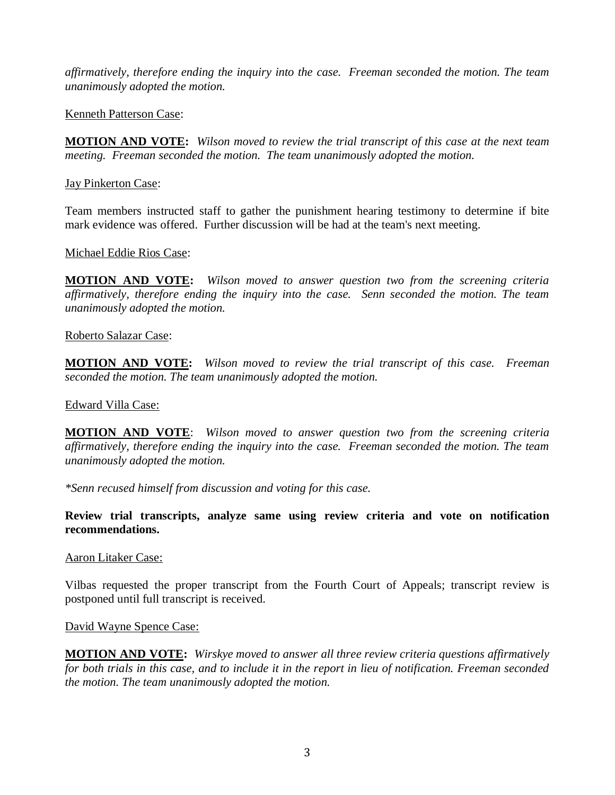*affirmatively, therefore ending the inquiry into the case. Freeman seconded the motion. The team unanimously adopted the motion.*

## Kenneth Patterson Case:

**MOTION AND VOTE:** *Wilson moved to review the trial transcript of this case at the next team meeting. Freeman seconded the motion. The team unanimously adopted the motion.*

## Jay Pinkerton Case:

Team members instructed staff to gather the punishment hearing testimony to determine if bite mark evidence was offered. Further discussion will be had at the team's next meeting.

## Michael Eddie Rios Case:

**MOTION AND VOTE:** *Wilson moved to answer question two from the screening criteria affirmatively, therefore ending the inquiry into the case. Senn seconded the motion. The team unanimously adopted the motion.*

### Roberto Salazar Case:

**MOTION AND VOTE:** *Wilson moved to review the trial transcript of this case. Freeman seconded the motion. The team unanimously adopted the motion.*

### Edward Villa Case:

**MOTION AND VOTE**: *Wilson moved to answer question two from the screening criteria affirmatively, therefore ending the inquiry into the case. Freeman seconded the motion. The team unanimously adopted the motion.*

*\*Senn recused himself from discussion and voting for this case.*

## **Review trial transcripts, analyze same using review criteria and vote on notification recommendations.**

### Aaron Litaker Case:

Vilbas requested the proper transcript from the Fourth Court of Appeals; transcript review is postponed until full transcript is received.

### David Wayne Spence Case:

**MOTION AND VOTE:** *Wirskye moved to answer all three review criteria questions affirmatively for both trials in this case, and to include it in the report in lieu of notification. Freeman seconded the motion. The team unanimously adopted the motion.*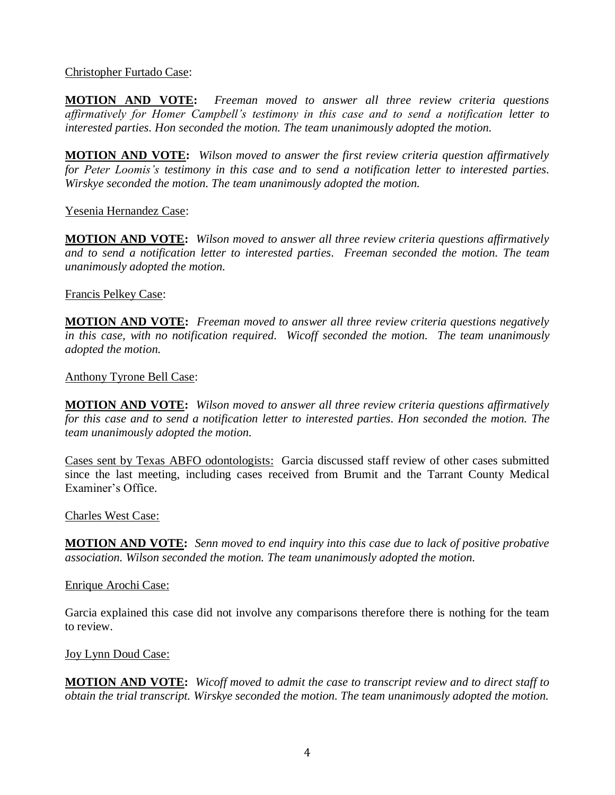Christopher Furtado Case:

**MOTION AND VOTE:** *Freeman moved to answer all three review criteria questions affirmatively for Homer Campbell's testimony in this case and to send a notification letter to interested parties. Hon seconded the motion. The team unanimously adopted the motion.*

**MOTION AND VOTE:** *Wilson moved to answer the first review criteria question affirmatively for Peter Loomis's testimony in this case and to send a notification letter to interested parties. Wirskye seconded the motion. The team unanimously adopted the motion.*

Yesenia Hernandez Case:

**MOTION AND VOTE:** *Wilson moved to answer all three review criteria questions affirmatively and to send a notification letter to interested parties. Freeman seconded the motion. The team unanimously adopted the motion.*

Francis Pelkey Case:

**MOTION AND VOTE:** *Freeman moved to answer all three review criteria questions negatively in this case, with no notification required. Wicoff seconded the motion. The team unanimously adopted the motion.*

Anthony Tyrone Bell Case:

**MOTION AND VOTE:** *Wilson moved to answer all three review criteria questions affirmatively for this case and to send a notification letter to interested parties. Hon seconded the motion. The team unanimously adopted the motion.*

Cases sent by Texas ABFO odontologists: Garcia discussed staff review of other cases submitted since the last meeting, including cases received from Brumit and the Tarrant County Medical Examiner's Office.

Charles West Case:

**MOTION AND VOTE:** *Senn moved to end inquiry into this case due to lack of positive probative association. Wilson seconded the motion. The team unanimously adopted the motion.*

Enrique Arochi Case:

Garcia explained this case did not involve any comparisons therefore there is nothing for the team to review.

Joy Lynn Doud Case:

**MOTION AND VOTE:** *Wicoff moved to admit the case to transcript review and to direct staff to obtain the trial transcript. Wirskye seconded the motion. The team unanimously adopted the motion.*